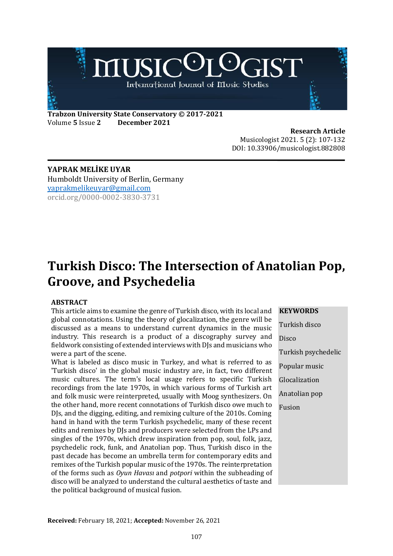

**Trabzon University State Conservatory © 2017-2021** Volume **5** Issue **2 December 2021**

**Research Article** Musicologist 2021. 5 (2): 107-132 DOI: 10.33906/musicologist.882808

**YAPRAK MELİKE UYAR** Humboldt University of Berlin, Germany [yaprakmelikeuyar@gmail.com](mailto:yaprakmelikeuyar@gmail.com) orcid.org/0000-0002-3830-3731

# **Turkish Disco: The Intersection of Anatolian Pop, Groove, and Psychedelia**

### **ABSTRACT**

This article aims to examine the genre of Turkish disco, with its local and global connotations. Using the theory of glocalization, the genre will be discussed as a means to understand current dynamics in the music industry. This research is a product of a discography survey and fieldwork consisting of extended interviews with DJs and musicians who were a part of the scene.

What is labeled as disco music in Turkey, and what is referred to as 'Turkish disco' in the global music industry are, in fact, two different music cultures. The term's local usage refers to specific Turkish recordings from the late 1970s, in which various forms of Turkish art and folk music were reinterpreted, usually with Moog synthesizers. On the other hand, more recent connotations of Turkish disco owe much to DJs, and the digging, editing, and remixing culture of the 2010s. Coming hand in hand with the term Turkish psychedelic, many of these recent edits and remixes by DJs and producers were selected from the LPs and singles of the 1970s, which drew inspiration from pop, soul, folk, jazz, psychedelic rock, funk, and Anatolian pop. Thus, Turkish disco in the past decade has become an umbrella term for contemporary edits and remixes of the Turkish popular music of the 1970s. The reinterpretation of the forms such as *Oyun Havası* and *potpori* within the subheading of disco will be analyzed to understand the cultural aesthetics of taste and the political background of musical fusion.

#### **KEYWORDS**

Turkish disco Disco Turkish psychedelic Popular music Glocalization Anatolian pop Fusion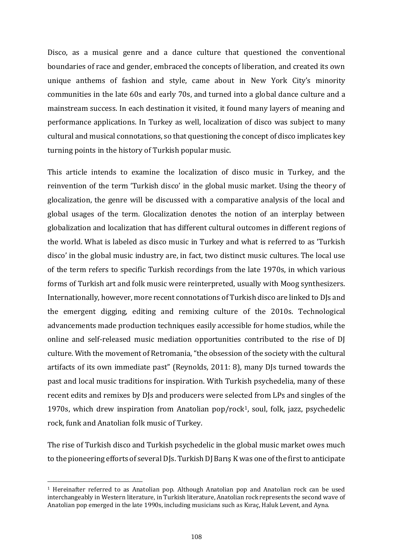Disco, as a musical genre and a dance culture that questioned the conventional boundaries of race and gender, embraced the concepts of liberation, and created its own unique anthems of fashion and style, came about in New York City's minority communities in the late 60s and early 70s, and turned into a global dance culture and a mainstream success. In each destination it visited, it found many layers of meaning and performance applications. In Turkey as well, localization of disco was subject to many cultural and musical connotations, so that questioning the concept of disco implicates key turning points in the history of Turkish popular music.

This article intends to examine the localization of disco music in Turkey, and the reinvention of the term 'Turkish disco' in the global music market. Using the theory of glocalization, the genre will be discussed with a comparative analysis of the local and global usages of the term. Glocalization denotes the notion of an interplay between globalization and localization that has different cultural outcomes in different regions of the world. What is labeled as disco music in Turkey and what is referred to as 'Turkish disco' in the global music industry are, in fact, two distinct music cultures. The local use of the term refers to specific Turkish recordings from the late 1970s, in which various forms of Turkish art and folk music were reinterpreted, usually with Moog synthesizers. Internationally, however, more recent connotations of Turkish disco are linked to DJs and the emergent digging, editing and remixing culture of the 2010s. Technological advancements made production techniques easily accessible for home studios, while the online and self-released music mediation opportunities contributed to the rise of DJ culture. With the movement of Retromania, "the obsession of the society with the cultural artifacts of its own immediate past" (Reynolds, 2011: 8), many DJs turned towards the past and local music traditions for inspiration. With Turkish psychedelia, many of these recent edits and remixes by DJs and producers were selected from LPs and singles of the 1970s, which drew inspiration from Anatolian pop/rock<sup>1</sup>, soul, folk, jazz, psychedelic rock, funk and Anatolian folk music of Turkey.

The rise of Turkish disco and Turkish psychedelic in the global music market owes much to the pioneering efforts of several DJs. Turkish DJ Barış K was one of the first to anticipate

<sup>1</sup> Hereinafter referred to as Anatolian pop. Although Anatolian pop and Anatolian rock can be used interchangeably in Western literature, in Turkish literature, Anatolian rock represents the second wave of Anatolian pop emerged in the late 1990s, including musicians such as Kıraç, Haluk Levent, and Ayna.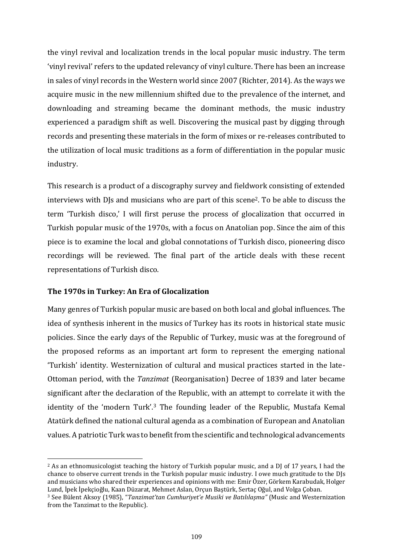the vinyl revival and localization trends in the local popular music industry. The term 'vinyl revival' refers to the updated relevancy of vinyl culture. There has been an increase in sales of vinyl records in the Western world since 2007 (Richter, 2014). As the ways we acquire music in the new millennium shifted due to the prevalence of the internet, and downloading and streaming became the dominant methods, the music industry experienced a paradigm shift as well. Discovering the musical past by digging through records and presenting these materials in the form of mixes or re-releases contributed to the utilization of local music traditions as a form of differentiation in the popular music industry.

This research is a product of a discography survey and fieldwork consisting of extended interviews with DJs and musicians who are part of this scene2. To be able to discuss the term 'Turkish disco,' I will first peruse the process of glocalization that occurred in Turkish popular music of the 1970s, with a focus on Anatolian pop. Since the aim of this piece is to examine the local and global connotations of Turkish disco, pioneering disco recordings will be reviewed. The final part of the article deals with these recent representations of Turkish disco.

## **The 1970s in Turkey: An Era of Glocalization**

Many genres of Turkish popular music are based on both local and global influences. The idea of synthesis inherent in the musics of Turkey has its roots in historical state music policies. Since the early days of the Republic of Turkey, music was at the foreground of the proposed reforms as an important art form to represent the emerging national 'Turkish' identity. Westernization of cultural and musical practices started in the late-Ottoman period, with the *Tanzimat* (Reorganisation) Decree of 1839 and later became significant after the declaration of the Republic, with an attempt to correlate it with the identity of the 'modern Turk'.<sup>3</sup> The founding leader of the Republic, Mustafa Kemal Atatürk defined the national cultural agenda as a combination of European and Anatolian values. A patriotic Turk was to benefit from the scientific and technological advancements

<sup>&</sup>lt;sup>2</sup> As an ethnomusicologist teaching the history of Turkish popular music, and a DJ of 17 years, I had the chance to observe current trends in the Turkish popular music industry. I owe much gratitude to the DJs and musicians who shared their experiences and opinions with me: Emir Özer, Görkem Karabudak, Holger Lund, İpek İpekçioğlu, Kaan Düzarat, Mehmet Aslan, Orçun Baştürk, Sertaç Oğul, and Volga Çoban.

<sup>3</sup> See Bülent Aksoy (1985), "*Tanzimat'tan Cumhuriyet'e Musiki ve Batılılaşma"* (Music and Westernization from the Tanzimat to the Republic).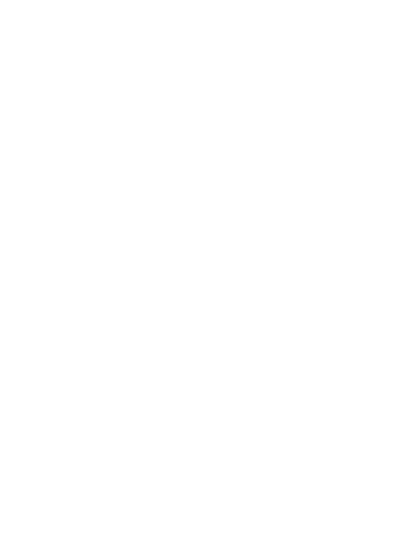of the West while internalizing the spirituality of the East (Kadıoğlu, 1996). As a means to achieve that ideal, a synthesis of Anatolian folk and Western classical music was seen as the ideal music representing this new country that was established on the remnants of the Ottoman Empire. However, the legacy of the Ottoman Empire has been a controversial issue throughout history.

Policies fostering European music facilitated the integration of Western ballroom dance styles. In the early days of the Republic, dances such as the waltz and the foxtrot became popular among the cultural elites, who regularly visited 'State Balls' — social events that broke down the barriers between men and women in Ottoman society (Alexandrov, 2013: 178). Actually, the roots of Western-style dance culture in Turkey were venues called *dansing* (dance halls), in which dances such as the Charleston, foxtrot, waltz, shimmy, one step, and tango were performed. Carol Woodall mentions *dansing* as well as the city's streets, bars, hotels, and cinemas as the 'contact zones' of Istanbul in the 1920s, in which various ethnic groups, classes and professions, as well as emigrants and Allied occupiers, came together (2008: 40).

A surprising outcome of the Westernization idea was the evolution of jazz and tango. Tango became the first Western genre to be adopted into local culture with compositions that included Turkish lyrics. By contrast, jazz was initially used as a mere generic category that encompassed all Western popular dance styles, from ragtime to foxtrot. Armenian violinist/saxophonist Leon Avigdor introduced jazz to Turkey in the mid-1920s (Mimaroğlu, 1958: 122). It took another two decades before Swing Amatör became the first genuine jazz band, and jazz gradually found its own identity from its North American origins, whereas other Western popular music styles were labelled as Turkish Light Music (Uyar & Karahasanoğlu, 2016: 137). <sup>4</sup>

The first example of Turkish Light Music (later known as Turkish pop music) was '*Bak Bir Varmış Bir Yokmuş*' (Look, Once Upon a Time) released in 1961 by the renowned jazz pianist and singer İlham Gencer. <sup>5</sup> The lyricist and radio host Fecri Ebcioğlu wrote Turkish lyrics to French pop singer Bob Azzam's '*C'est écrit dans le ciel',* becoming the pioneer of *Aranjman* music, a form of popular music with Turkish lyrics. The term *Aranjman*

<sup>4</sup> The term "Light Music" denotes Easy Listening.

<sup>5</sup> Unless otherwise stated, all translations are the author's.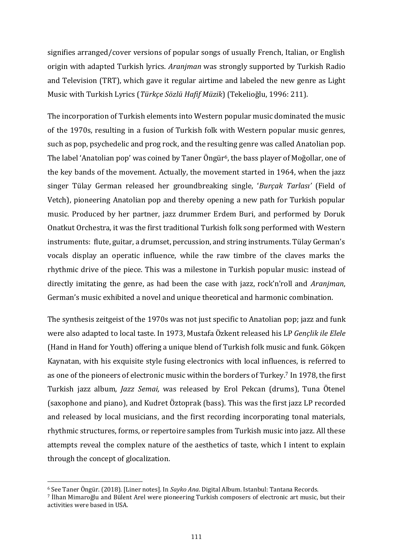signifies arranged/cover versions of popular songs of usually French, Italian, or English origin with adapted Turkish lyrics. *Aranjman* was strongly supported by Turkish Radio and Television (TRT), which gave it regular airtime and labeled the new genre as Light Music with Turkish Lyrics (*Türkçe Sözlü Hafif Müzik*) (Tekelioğlu, 1996: 211).

The incorporation of Turkish elements into Western popular music dominated the music of the 1970s, resulting in a fusion of Turkish folk with Western popular music genres, such as pop, psychedelic and prog rock, and the resulting genre was called Anatolian pop. The label 'Anatolian pop' was coined by Taner Öngür<sup>6</sup>, the bass player of Moğollar, one of the key bands of the movement. Actually, the movement started in 1964, when the jazz singer Tülay German released her groundbreaking single, '*Burçak Tarlası'* (Field of Vetch), pioneering Anatolian pop and thereby opening a new path for Turkish popular music. Produced by her partner, jazz drummer Erdem Buri, and performed by Doruk Onatkut Orchestra, it was the first traditional Turkish folk song performed with Western instruments: flute, guitar, a drumset, percussion, and string instruments. Tülay German's vocals display an operatic influence, while the raw timbre of the claves marks the rhythmic drive of the piece. This was a milestone in Turkish popular music: instead of directly imitating the genre, as had been the case with jazz, rock'n'roll and *Aranjman*, German's music exhibited a novel and unique theoretical and harmonic combination.

The synthesis zeitgeist of the 1970s was not just specific to Anatolian pop; jazz and funk were also adapted to local taste. In 1973, Mustafa Özkent released his LP *Gençlik ile Elele* (Hand in Hand for Youth) offering a unique blend of Turkish folk music and funk. Gökçen Kaynatan, with his exquisite style fusing electronics with local influences, is referred to as one of the pioneers of electronic music within the borders of Turkey.<sup>7</sup> In 1978, the first Turkish jazz album, *Jazz Semai,* was released by Erol Pekcan (drums), Tuna Ötenel (saxophone and piano), and Kudret Öztoprak (bass). This was the first jazz LP recorded and released by local musicians, and the first recording incorporating tonal materials, rhythmic structures, forms, or repertoire samples from Turkish music into jazz. All these attempts reveal the complex nature of the aesthetics of taste, which I intent to explain through the concept of glocalization.

<sup>6</sup> See Taner Öngür. (2018). [Liner notes]. In *Sayko Ana*. Digital Album. Istanbul: Tantana Records.

<sup>7</sup> İlhan Mimaroğlu and Bülent Arel were pioneering Turkish composers of electronic art music, but their activities were based in USA.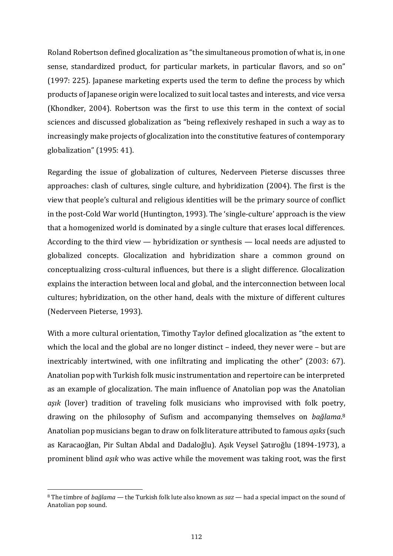Roland Robertson defined glocalization as "the simultaneous promotion of what is, in one sense, standardized product, for particular markets, in particular flavors, and so on" (1997: 225). Japanese marketing experts used the term to define the process by which products of Japanese origin were localized to suit local tastes and interests, and vice versa (Khondker, 2004). Robertson was the first to use this term in the context of social sciences and discussed globalization as "being reflexively reshaped in such a way as to increasingly make projects of glocalization into the constitutive features of contemporary globalization" (1995: 41).

Regarding the issue of globalization of cultures, Nederveen Pieterse discusses three approaches: clash of cultures, single culture, and hybridization (2004). The first is the view that people's cultural and religious identities will be the primary source of conflict in the post-Cold War world (Huntington, 1993). The 'single-culture' approach is the view that a homogenized world is dominated by a single culture that erases local differences. According to the third view — hybridization or synthesis — local needs are adjusted to globalized concepts. Glocalization and hybridization share a common ground on conceptualizing cross-cultural influences, but there is a slight difference. Glocalization explains the interaction between local and global, and the interconnection between local cultures; hybridization, on the other hand, deals with the mixture of different cultures (Nederveen Pieterse, 1993).

With a more cultural orientation, Timothy Taylor defined glocalization as "the extent to which the local and the global are no longer distinct – indeed, they never were – but are inextricably intertwined, with one infiltrating and implicating the other" (2003: 67). Anatolian pop with Turkish folk music instrumentation and repertoire can be interpreted as an example of glocalization. The main influence of Anatolian pop was the Anatolian *aşık* (lover) tradition of traveling folk musicians who improvised with folk poetry, drawing on the philosophy of Sufism and accompanying themselves on *bağlama*. 8 Anatolian pop musicians began to draw on folk literature attributed to famous *aşıks*(such as Karacaoğlan, Pir Sultan Abdal and Dadaloğlu). Aşık Veysel Şatıroğlu (1894-1973), a prominent blind *aşık* who was active while the movement was taking root, was the first

<sup>8</sup> The timbre of *bağlama* — the Turkish folk lute also known as *saz* — had a special impact on the sound of Anatolian pop sound.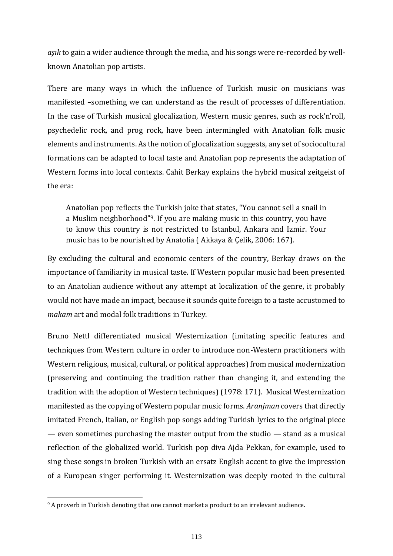*aşık* to gain a wider audience through the media, and his songs were re-recorded by wellknown Anatolian pop artists.

There are many ways in which the influence of Turkish music on musicians was manifested –something we can understand as the result of processes of differentiation. In the case of Turkish musical glocalization, Western music genres, such as rock'n'roll, psychedelic rock, and prog rock, have been intermingled with Anatolian folk music elements and instruments. As the notion of glocalization suggests, any set of sociocultural formations can be adapted to local taste and Anatolian pop represents the adaptation of Western forms into local contexts. Cahit Berkay explains the hybrid musical zeitgeist of the era:

Anatolian pop reflects the Turkish joke that states, "You cannot sell a snail in a Muslim neighborhood"9. If you are making music in this country, you have to know this country is not restricted to Istanbul, Ankara and Izmir. Your music has to be nourished by Anatolia ( Akkaya & Çelik, 2006: 167).

By excluding the cultural and economic centers of the country, Berkay draws on the importance of familiarity in musical taste. If Western popular music had been presented to an Anatolian audience without any attempt at localization of the genre, it probably would not have made an impact, because it sounds quite foreign to a taste accustomed to *makam* art and modal folk traditions in Turkey.

Bruno Nettl differentiated musical Westernization (imitating specific features and techniques from Western culture in order to introduce non-Western practitioners with Western religious, musical, cultural, or political approaches) from musical modernization (preserving and continuing the tradition rather than changing it, and extending the tradition with the adoption of Western techniques) (1978: 171). Musical Westernization manifested as the copying of Western popular music forms. *Aranjman* covers that directly imitated French, Italian, or English pop songs adding Turkish lyrics to the original piece — even sometimes purchasing the master output from the studio — stand as a musical reflection of the globalized world. Turkish pop diva Ajda Pekkan, for example, used to sing these songs in broken Turkish with an ersatz English accent to give the impression of a European singer performing it. Westernization was deeply rooted in the cultural

<sup>&</sup>lt;sup>9</sup> A proverb in Turkish denoting that one cannot market a product to an irrelevant audience.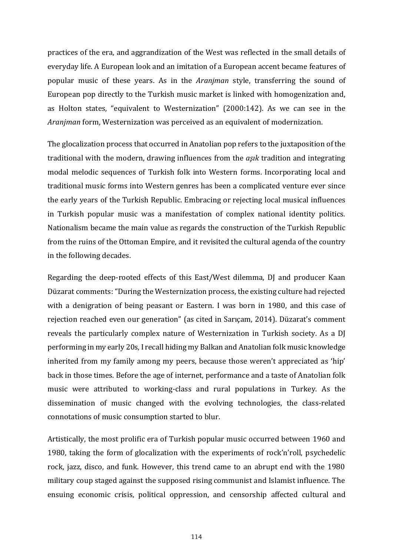practices of the era, and aggrandization of the West was reflected in the small details of everyday life. A European look and an imitation of a European accent became features of popular music of these years. As in the *Aranjman* style, transferring the sound of European pop directly to the Turkish music market is linked with homogenization and, as Holton states, "equivalent to Westernization" (2000:142). As we can see in the *Aranjman* form, Westernization was perceived as an equivalent of modernization.

The glocalization process that occurred in Anatolian pop refers to the juxtaposition of the traditional with the modern, drawing influences from the *aşık* tradition and integrating modal melodic sequences of Turkish folk into Western forms. Incorporating local and traditional music forms into Western genres has been a complicated venture ever since the early years of the Turkish Republic. Embracing or rejecting local musical influences in Turkish popular music was a manifestation of complex national identity politics. Nationalism became the main value as regards the construction of the Turkish Republic from the ruins of the Ottoman Empire, and it revisited the cultural agenda of the country in the following decades.

Regarding the deep-rooted effects of this East/West dilemma, DJ and producer Kaan Düzarat comments: "During the Westernization process, the existing culture had rejected with a denigration of being peasant or Eastern. I was born in 1980, and this case of rejection reached even our generation" (as cited in Sarıçam, 2014). Düzarat's comment reveals the particularly complex nature of Westernization in Turkish society. As a DJ performing in my early 20s, I recall hiding my Balkan and Anatolian folk music knowledge inherited from my family among my peers, because those weren't appreciated as 'hip' back in those times. Before the age of internet, performance and a taste of Anatolian folk music were attributed to working-class and rural populations in Turkey. As the dissemination of music changed with the evolving technologies, the class-related connotations of music consumption started to blur.

Artistically, the most prolific era of Turkish popular music occurred between 1960 and 1980, taking the form of glocalization with the experiments of rock'n'roll, psychedelic rock, jazz, disco, and funk. However, this trend came to an abrupt end with the 1980 military coup staged against the supposed rising communist and Islamist influence. The ensuing economic crisis, political oppression, and censorship affected cultural and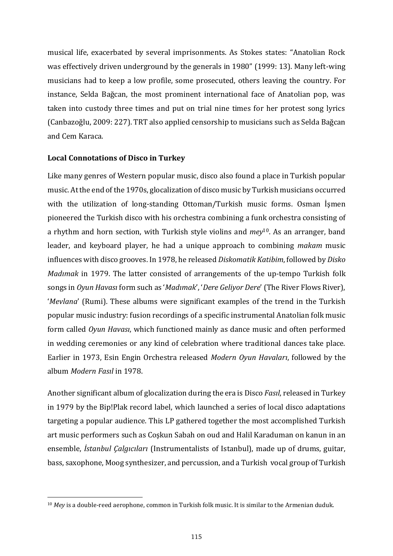musical life, exacerbated by several imprisonments. As Stokes states: "Anatolian Rock was effectively driven underground by the generals in 1980" (1999: 13). Many left-wing musicians had to keep a low profile, some prosecuted, others leaving the country. For instance, Selda Bağcan, the most prominent international face of Anatolian pop, was taken into custody three times and put on trial nine times for her protest song lyrics (Canbazoğlu, 2009: 227). TRT also applied censorship to musicians such as Selda Bağcan and Cem Karaca.

### **Local Connotations of Disco in Turkey**

Like many genres of Western popular music, disco also found a place in Turkish popular music. Atthe end of the 1970s, glocalization of disco music by Turkish musicians occurred with the utilization of long-standing Ottoman/Turkish music forms. Osman İşmen pioneered the Turkish disco with his orchestra combining a funk orchestra consisting of a rhythm and horn section, with Turkish style violins and *mey*10. As an arranger, band leader, and keyboard player, he had a unique approach to combining *makam* music influences with disco grooves. In 1978, he released *Diskomatik Katibim*, followed by *Disko Madımak* in 1979. The latter consisted of arrangements of the up-tempo Turkish folk songs in *Oyun Havası* form such as '*Madımak*', '*Dere Geliyor Dere*' (The River Flows River), '*Mevlana*' (Rumi). These albums were significant examples of the trend in the Turkish popular music industry: fusion recordings of a specific instrumental Anatolian folk music form called *Oyun Havası*, which functioned mainly as dance music and often performed in wedding ceremonies or any kind of celebration where traditional dances take place. Earlier in 1973, Esin Engin Orchestra released *Modern Oyun Havaları*, followed by the album *Modern Fasıl* in 1978.

Another significant album of glocalization during the era is Disco *Fasıl*, released in Turkey in 1979 by the Bip!Plak record label, which launched a series of local disco adaptations targeting a popular audience. This LP gathered together the most accomplished Turkish art music performers such as Coşkun Sabah on oud and Halil Karaduman on kanun in an ensemble, *İstanbul Çalgıcıları* (Instrumentalists of Istanbul), made up of drums, guitar, bass, saxophone, Moog synthesizer, and percussion, and a Turkish vocal group of Turkish

<sup>&</sup>lt;sup>10</sup> Mey is a double-reed aerophone, common in Turkish folk music. It is similar to the Armenian duduk.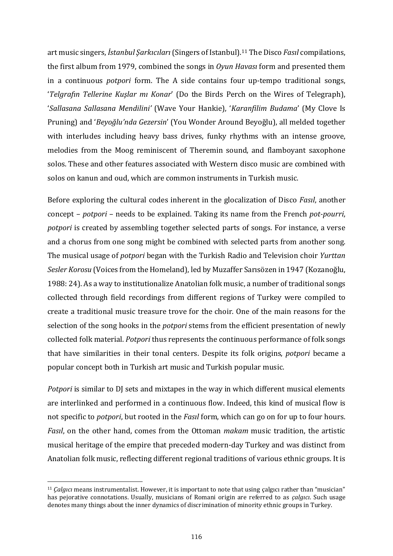art music singers, *İstanbul Şarkıcıları*(Singers ofIstanbul).<sup>11</sup> The Disco *Fasıl* compilations, the first album from 1979, combined the songs in *Oyun Havası* form and presented them in a continuous *potpori* form. The A side contains four up-tempo traditional songs, '*Telgrafın Tellerine Kuşlar mı Konar*' (Do the Birds Perch on the Wires of Telegraph), '*Sallasana Sallasana Mendilini'* (Wave Your Hankie), '*Karanfilim Budama*' (My Clove Is Pruning) and '*Beyoğlu'nda Gezersin*' (You Wonder Around Beyoğlu), all melded together with interludes including heavy bass drives, funky rhythms with an intense groove, melodies from the Moog reminiscent of Theremin sound, and flamboyant saxophone solos. These and other features associated with Western disco music are combined with solos on kanun and oud, which are common instruments in Turkish music.

Before exploring the cultural codes inherent in the glocalization of Disco *Fasıl*, another concept – *potpori* – needs to be explained. Taking its name from the French *pot-pourri*, *potpori* is created by assembling together selected parts of songs. For instance, a verse and a chorus from one song might be combined with selected parts from another song. The musical usage of *potpori* began with the Turkish Radio and Television choir *Yurttan Sesler Korosu* (Voices from the Homeland), led by Muzaffer Sarısözen in 1947 (Kozanoğlu, 1988: 24). As a way to institutionalize Anatolian folk music, a number of traditional songs collected through field recordings from different regions of Turkey were compiled to create a traditional music treasure trove for the choir. One of the main reasons for the selection of the song hooks in the *potpori* stems from the efficient presentation of newly collected folk material. *Potpori* thus represents the continuous performance of folk songs that have similarities in their tonal centers. Despite its folk origins, *potpori* became a popular concept both in Turkish art music and Turkish popular music.

*Potpori* is similar to DJ sets and mixtapes in the way in which different musical elements are interlinked and performed in a continuous flow. Indeed, this kind of musical flow is not specific to *potpori*, but rooted in the *Fasıl* form, which can go on for up to four hours. *Fasıl*, on the other hand, comes from the Ottoman *makam* music tradition, the artistic musical heritage of the empire that preceded modern-day Turkey and was distinct from Anatolian folk music, reflecting different regional traditions of various ethnic groups. It is

<sup>11</sup> *Çalgıcı* means instrumentalist. However, it is important to note that using çalgıcı rather than "musician" has pejorative connotations. Usually, musicians of Romani origin are referred to as *çalgıcı*. Such usage denotes many things about the inner dynamics of discrimination of minority ethnic groups in Turkey.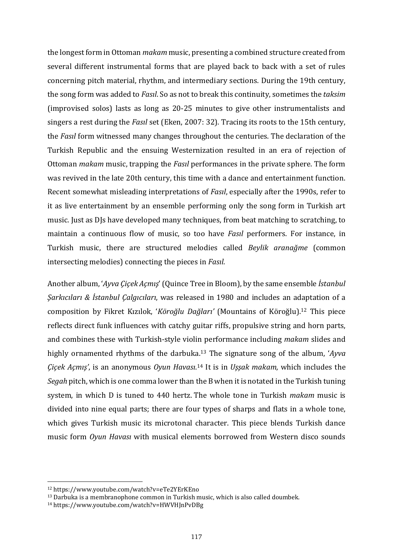the longest form in Ottoman *makam* music, presenting a combined structure created from several different instrumental forms that are played back to back with a set of rules concerning pitch material, rhythm, and intermediary sections. During the 19th century, the song form was added to *Fasıl*. So as not to break this continuity, sometimes the *taksim* (improvised solos) lasts as long as 20-25 minutes to give other instrumentalists and singers a rest during the *Fasıl* set (Eken, 2007: 32). Tracing its roots to the 15th century, the *Fasıl* form witnessed many changes throughout the centuries. The declaration of the Turkish Republic and the ensuing Westernization resulted in an era of rejection of Ottoman *makam* music, trapping the *Fasıl* performances in the private sphere. The form was revived in the late 20th century, this time with a dance and entertainment function. Recent somewhat misleading interpretations of *Fasıl*, especially after the 1990s, refer to it as live entertainment by an ensemble performing only the song form in Turkish art music. Just as DJs have developed many techniques, from beat matching to scratching, to maintain a continuous flow of music, so too have *Fasıl* performers. For instance, in Turkish music, there are structured melodies called *Beylik aranağme* (common intersecting melodies) connecting the pieces in *Fasıl*.

Another album, '*Ayva Çiçek Açmış*' (Quince Tree in Bloom), by the same ensemble *İstanbul Şarkıcıları & İstanbul Çalgıcıları*, was released in 1980 and includes an adaptation of a composition by Fikret Kızılok, '*Köroğlu Dağları'* (Mountains of Köroğlu).<sup>12</sup> This piece reflects direct funk influences with catchy guitar riffs, propulsive string and horn parts, and combines these with Turkish-style violin performance including *makam* slides and highly ornamented rhythms of the darbuka. <sup>13</sup> The signature song of the album, '*Ayva Çiçek Açmış'*, is an anonymous *Oyun Havası*. <sup>14</sup> It is in *Uşşak makam*, which includes the *Segah* pitch, which is one comma lower than the Bwhen it is notated in the Turkish tuning system, in which D is tuned to 440 hertz. The whole tone in Turkish *makam* music is divided into nine equal parts; there are four types of sharps and flats in a whole tone, which gives Turkish music its microtonal character. This piece blends Turkish dance music form *Oyun Havası* with musical elements borrowed from Western disco sounds

<sup>12</sup> https://www.youtube.com/watch?v=eTe2YErKEno

<sup>13</sup> Darbuka is a membranophone common in Turkish music, which is also called doumbek.

<sup>14</sup> https://www.youtube.com/watch?v=HWVHJnPvDBg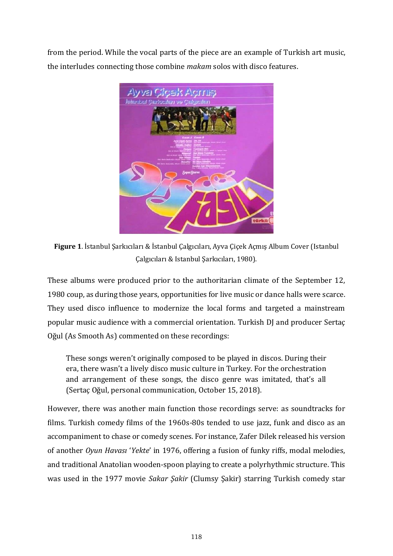from the period. While the vocal parts of the piece are an example of Turkish art music, the interludes connecting those combine *makam* solos with disco features.



**Figure 1**. İstanbul Şarkıcıları & İstanbul Çalgıcıları, Ayva Çiçek Açmış Album Cover (Istanbul Çalgıcıları & Istanbul Şarkıcıları, 1980).

These albums were produced prior to the authoritarian climate of the September 12, 1980 coup, as during those years, opportunities for live music or dance halls were scarce. They used disco influence to modernize the local forms and targeted a mainstream popular music audience with a commercial orientation. Turkish DJ and producer Sertaç Oğul (As Smooth As) commented on these recordings:

These songs weren't originally composed to be played in discos. During their era, there wasn't a lively disco music culture in Turkey. For the orchestration and arrangement of these songs, the disco genre was imitated, that's all (Sertaç Oğul, personal communication, October 15, 2018).

However, there was another main function those recordings serve: as soundtracks for films. Turkish comedy films of the 1960s-80s tended to use jazz, funk and disco as an accompaniment to chase or comedy scenes. For instance, Zafer Dilek released his version of another *Oyun Havası* '*Yekte*' in 1976, offering a fusion of funky riffs, modal melodies, and traditional Anatolian wooden-spoon playing to create a polyrhythmic structure. This was used in the 1977 movie *Sakar Şakir* (Clumsy Şakir) starring Turkish comedy star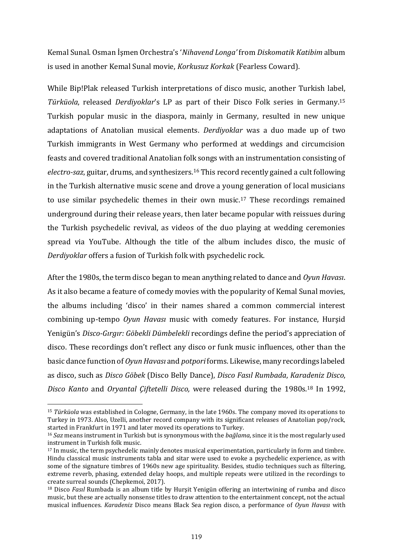Kemal Sunal. Osman İşmen Orchestra's '*Nihavend Longa'* from *Diskomatik Katibim* album is used in another Kemal Sunal movie, *Korkusuz Korkak* (Fearless Coward).

While Bip!Plak released Turkish interpretations of disco music, another Turkish label, *Türküola*, released *Derdiyoklar*'s LP as part of their Disco Folk series in Germany.<sup>15</sup> Turkish popular music in the diaspora, mainly in Germany, resulted in new unique adaptations of Anatolian musical elements. *Derdiyoklar* was a duo made up of two Turkish immigrants in West Germany who performed at weddings and circumcision feasts and covered traditional Anatolian folk songs with an instrumentation consisting of *electro-saz*, guitar, drums, and synthesizers.<sup>16</sup> This record recently gained a cult following in the Turkish alternative music scene and drove a young generation of local musicians to use similar psychedelic themes in their own music.<sup>17</sup> These recordings remained underground during their release years, then later became popular with reissues during the Turkish psychedelic revival, as videos of the duo playing at wedding ceremonies spread via YouTube. Although the title of the album includes disco, the music of *Derdiyoklar* offers a fusion of Turkish folk with psychedelic rock.

After the 1980s, the term disco began to mean anything related to dance and *Oyun Havası*. As it also became a feature of comedy movies with the popularity of Kemal Sunal movies, the albums including 'disco' in their names shared a common commercial interest combining up-tempo *Oyun Havası* music with comedy features. For instance, Hurşid Yenigün's *Disco-Gırgır: Göbekli Dümbelekli* recordings define the period's appreciation of disco. These recordings don't reflect any disco or funk music influences, other than the basic dance function of *Oyun Havası* and *potpori* forms. Likewise, many recordings labeled as disco, such as *Disco Göbek* (Disco Belly Dance), *Disco Fasıl Rumbada*, *Karadeniz Disco*, *Disco Kanto* and *Oryantal Çiftetelli Disco,* were released during the 1980s.<sup>18</sup> In 1992,

<sup>15</sup> *Türküola* was established in Cologne, Germany, in the late 1960s. The company moved its operations to Turkey in 1973. Also, Uzelli, another record company with its significant releases of Anatolian pop/rock, started in Frankfurt in 1971 and later moved its operations to Turkey.

<sup>16</sup> *Saz* means instrument in Turkish but is synonymous with the *bağlama*, since it is the most regularly used instrument in Turkish folk music.

<sup>&</sup>lt;sup>17</sup> In music, the term psychedelic mainly denotes musical experimentation, particularly in form and timbre. Hindu classical music instruments tabla and sitar were used to evoke a psychedelic experience, as with some of the signature timbres of 1960s new age spirituality. Besides, studio techniques such as filtering, extreme reverb, phasing, extended delay hoops, and multiple repeats were utilized in the recordings to create surreal sounds (Chepkemoi, 2017).

<sup>18</sup> Disco *Fasıl* Rumbada is an album title by Hurşit Yenigün offering an intertwining of rumba and disco music, but these are actually nonsense titles to draw attention to the entertainment concept, not the actual musical influences. *Karadeniz* Disco means Black Sea region disco, a performance of *Oyun Havası* with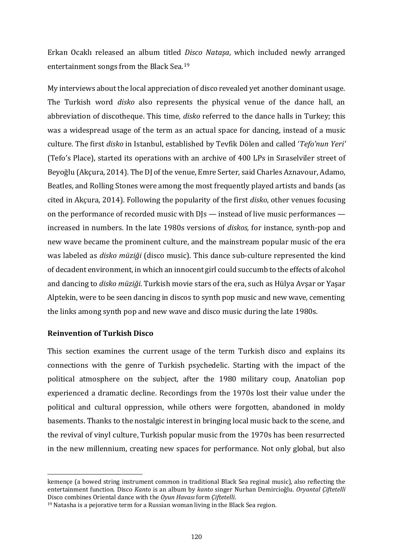Erkan Ocaklı released an album titled *Disco Nataşa*, which included newly arranged entertainment songs from the Black Sea.<sup>19</sup>

My interviews about the local appreciation of disco revealed yet another dominant usage. The Turkish word *disko* also represents the physical venue of the dance hall, an abbreviation of discotheque. This time, *disko* referred to the dance halls in Turkey; this was a widespread usage of the term as an actual space for dancing, instead of a music culture. The first *disko* in Istanbul, established by Tevfik Dölen and called '*Tefo'nun Yeri'* (Tefo's Place), started its operations with an archive of 400 LPs in Sıraselviler street of Beyoğlu (Akçura, 2014). The DJ of the venue, EmreSerter, said Charles Aznavour, Adamo, Beatles, and Rolling Stones were among the most frequently played artists and bands (as cited in Akçura, 2014). Following the popularity of the first *disko*, other venues focusing on the performance of recorded music with DJs — instead of live music performances increased in numbers. In the late 1980s versions of *diskos,* for instance, synth-pop and new wave became the prominent culture, and the mainstream popular music of the era was labeled as *disko müziği* (disco music). This dance sub-culture represented the kind of decadent environment, in which an innocent girl could succumb to the effects of alcohol and dancing to *disko müziği*. Turkish movie stars of the era, such as Hülya Avşar or Yaşar Alptekin, were to be seen dancing in discos to synth pop music and new wave, cementing the links among synth pop and new wave and disco music during the late 1980s.

### **Reinvention of Turkish Disco**

This section examines the current usage of the term Turkish disco and explains its connections with the genre of Turkish psychedelic. Starting with the impact of the political atmosphere on the subject, after the 1980 military coup, Anatolian pop experienced a dramatic decline. Recordings from the 1970s lost their value under the political and cultural oppression, while others were forgotten, abandoned in moldy basements. Thanks to the nostalgic interest in bringing local music back to the scene, and the revival of vinyl culture, Turkish popular music from the 1970s has been resurrected in the new millennium, creating new spaces for performance. Not only global, but also

kemençe (a bowed string instrument common in traditional Black Sea reginal music), also reflecting the entertainment function. Disco *Kanto* is an album by *kanto* singer Nurhan Demircioğlu. *Oryantal Çiftetelli* Disco combines Oriental dance with the *Oyun Havası* form *Çiftetelli*.

 $19$  Natasha is a pejorative term for a Russian woman living in the Black Sea region.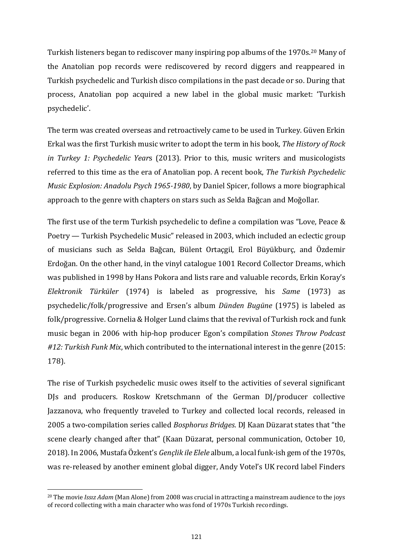Turkish listeners began to rediscover many inspiring pop albums of the 1970s.<sup>20</sup> Many of the Anatolian pop records were rediscovered by record diggers and reappeared in Turkish psychedelic and Turkish disco compilations in the past decade or so. During that process, Anatolian pop acquired a new label in the global music market: 'Turkish psychedelic'.

The term was created overseas and retroactively came to be used in Turkey. Güven Erkin Erkal was the first Turkish music writer to adopt the term in his book, *The History of Rock in Turkey 1: Psychedelic Year*s (2013). Prior to this, music writers and musicologists referred to this time as the era of Anatolian pop. A recent book, *The Turkish Psychedelic Music Explosion: Anadolu Psych 1965-1980*, by Daniel Spicer, follows a more biographical approach to the genre with chapters on stars such as Selda Bağcan and Moğollar.

The first use of the term Turkish psychedelic to define a compilation was "Love, Peace & Poetry — Turkish Psychedelic Music" released in 2003, which included an eclectic group of musicians such as Selda Bağcan, Bülent Ortaçgil, Erol Büyükburç, and Özdemir Erdoğan. On the other hand, in the vinyl catalogue 1001 Record Collector Dreams, which was published in 1998 by Hans Pokora and lists rare and valuable records, Erkin Koray's *Elektronik Türküler* (1974) is labeled as progressive, his *Same* (1973) as psychedelic/folk/progressive and Ersen's album *Dünden Bugüne* (1975) is labeled as folk/progressive. Cornelia & Holger Lund claims that the revival of Turkish rock and funk music began in 2006 with hip-hop producer Egon's compilation *Stones Throw Podcast #12: Turkish Funk Mix*, which contributed to the international interest in the genre (2015: 178).

The rise of Turkish psychedelic music owes itself to the activities of several significant DJs and producers. Roskow Kretschmann of the German DJ/producer collective Jazzanova, who frequently traveled to Turkey and collected local records, released in 2005 a two-compilation series called *Bosphorus Bridges*. DJ Kaan Düzarat states that "the scene clearly changed after that" (Kaan Düzarat, personal communication, October 10, 2018). In 2006, Mustafa Özkent's *Gençlik ile Elele* album, a local funk-ish gem of the 1970s, was re-released by another eminent global digger, Andy Votel's UK record label Finders

<sup>20</sup> The movie *Issız Adam* (Man Alone) from 2008 was crucial in attracting a mainstream audience to the joys of record collecting with a main character who was fond of 1970s Turkish recordings.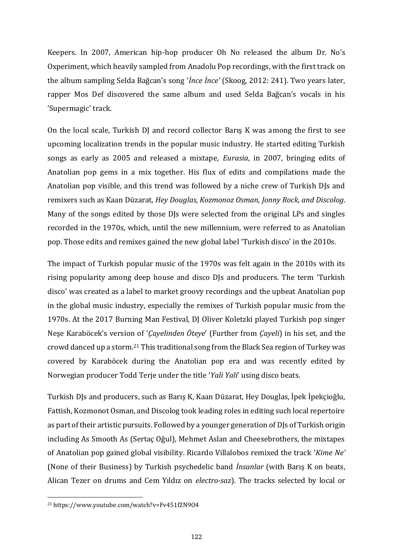Keepers. In 2007, American hip-hop producer Oh No released the album Dr. No's Oxperiment, which heavily sampled from Anadolu Pop recordings, with the first track on the album sampling Selda Bağcan's song '*İnce İnce'* (Skoog, 2012: 241). Two years later, rapper Mos Def discovered the same album and used Selda Bağcan's vocals in his 'Supermagic' track.

On the local scale, Turkish DJ and record collector Barış K was among the first to see upcoming localization trends in the popular music industry. He started editing Turkish songs as early as 2005 and released a mixtape, *Eurasia*, in 2007, bringing edits of Anatolian pop gems in a mix together. His flux of edits and compilations made the Anatolian pop visible, and this trend was followed by a niche crew of Turkish DJs and remixers such as Kaan Düzarat, *Hey Douglas, Kozmonoz Osman, Jonny Rock, and Discolog*. Many of the songs edited by those DJs were selected from the original LPs and singles recorded in the 1970s, which, until the new millennium, were referred to as Anatolian pop. Those edits and remixes gained the new global label 'Turkish disco' in the 2010s.

The impact of Turkish popular music of the 1970s was felt again in the 2010s with its rising popularity among deep house and disco DJs and producers. The term 'Turkish disco' was created as a label to market groovy recordings and the upbeat Anatolian pop in the global music industry, especially the remixes of Turkish popular music from the 1970s. At the 2017 Burning Man Festival, DJ Oliver Koletzki played Turkish pop singer Neşe Karaböcek's version of '*Çayelinden Öteye*' (Further from *Çayeli*) in his set, and the crowd danced up a storm.<sup>21</sup> This traditional song from the Black Sea region of Turkey was covered by Karaböcek during the Anatolian pop era and was recently edited by Norwegian producer Todd Terje under the title '*Yali Yali*' using disco beats.

Turkish DJs and producers, such as Barış K, Kaan Düzarat, Hey Douglas, İpek İpekçioğlu, Fattish, Kozmonot Osman, and Discolog took leading roles in editing such local repertoire as part of their artistic pursuits. Followed by a younger generation of DJs of Turkish origin including As Smooth As (Sertaç Oğul), Mehmet Aslan and Cheesebrothers, the mixtapes of Anatolian pop gained global visibility. Ricardo Villalobos remixed the track '*Kime Ne'* (None of their Business) by Turkish psychedelic band *İnsanlar* (with Barış K on beats, Alican Tezer on drums and Cem Yıldız on *electro-saz*). The tracks selected by local or

<sup>21</sup> https://www.youtube.com/watch?v=Fv451fZN9O4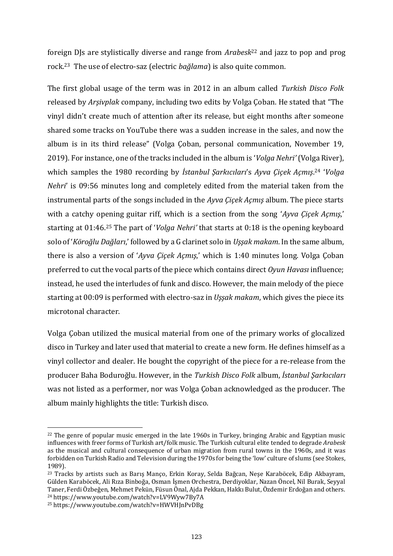foreign DJs are stylistically diverse and range from *Arabesk*<sup>22</sup> and jazz to pop and prog rock.23 The use of electro-saz (electric *bağlama*) is also quite common.

The first global usage of the term was in 2012 in an album called *Turkish Disco Folk*  released by *Arşivplak* company, including two edits by Volga Çoban. He stated that "The vinyl didn't create much of attention after its release, but eight months after someone shared some tracks on YouTube there was a sudden increase in the sales, and now the album is in its third release" (Volga Çoban, personal communication, November 19, 2019). For instance, one of the tracks included in the album is '*Volga Nehri'*(Volga River), which samples the 1980 recording by *İstanbul Şarkıcıları*'s *Ayva Çiçek Açmış*. <sup>24</sup> '*Volga Nehri*' is 09:56 minutes long and completely edited from the material taken from the instrumental parts of the songs included in the *Ayva Çiçek Açmış* album. The piece starts with a catchy opening guitar riff, which is a section from the song '*Ayva Çiçek Açmış*,' starting at 01:46.<sup>25</sup> The part of '*Volga Nehri'* that starts at 0:18 is the opening keyboard solo of '*Köroğlu Dağları*,' followed by a G clarinet solo in *Uşşak makam*. In the same album, there is also a version of '*Ayva Çiçek Açmış*,' which is 1:40 minutes long. Volga Çoban preferred to cut the vocal parts of the piece which contains direct *Oyun Havası* influence; instead, he used the interludes of funk and disco. However, the main melody of the piece starting at 00:09 is performed with electro-saz in *Uşşak makam*, which gives the piece its microtonal character.

Volga Çoban utilized the musical material from one of the primary works of glocalized disco in Turkey and later used that material to create a new form. He defines himself as a vinyl collector and dealer. He bought the copyright of the piece for a re-release from the producer Baha Boduroğlu. However, in the *Turkish Disco Folk* album, *İstanbul Şarkıcıları*  was not listed as a performer, nor was Volga Çoban acknowledged as the producer. The album mainly highlights the title: Turkish disco.

<sup>&</sup>lt;sup>22</sup> The genre of popular music emerged in the late 1960s in Turkey, bringing Arabic and Egyptian music influences with freer forms of Turkish art/folk music. The Turkish cultural elite tended to degrade *Arabesk* as the musical and cultural consequence of urban migration from rural towns in the 1960s, and it was forbidden on Turkish Radio and Television during the 1970s for being the 'low' culture of slums (see Stokes, 1989).

<sup>23</sup> Tracks by artists such as Barış Manço, Erkin Koray, Selda Bağcan, Neşe Karaböcek, Edip Akbayram, Gülden Karaböcek, Ali Rıza Binboğa, Osman İşmen Orchestra, Derdiyoklar, Nazan Öncel, Nil Burak, Seyyal Taner, Ferdi Özbeğen, Mehmet Pekün, Füsun Önal, Ajda Pekkan, Hakkı Bulut, Özdemir Erdoğan and others. <sup>24</sup> https://www.youtube.com/watch?v=LV9Wyw7By7A

<sup>25</sup> https://www.youtube.com/watch?v=HWVHJnPvDBg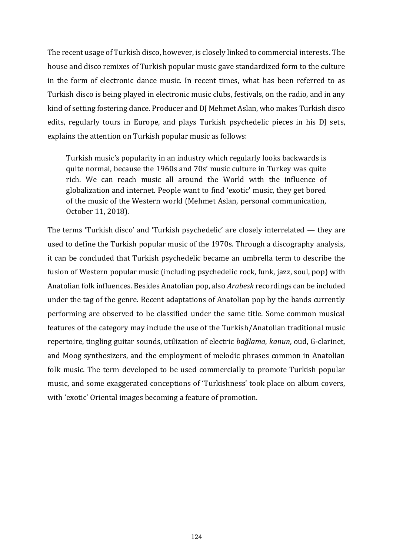The recent usage of Turkish disco, however, is closely linked to commercial interests. The house and disco remixes of Turkish popular music gave standardized form to the culture in the form of electronic dance music. In recent times, what has been referred to as Turkish disco is being played in electronic music clubs, festivals, on the radio, and in any kind of setting fostering dance. Producer and DJ Mehmet Aslan, who makes Turkish disco edits, regularly tours in Europe, and plays Turkish psychedelic pieces in his DJ sets, explains the attention on Turkish popular music as follows:

Turkish music's popularity in an industry which regularly looks backwards is quite normal, because the 1960s and 70s' music culture in Turkey was quite rich. We can reach music all around the World with the influence of globalization and internet. People want to find 'exotic' music, they get bored of the music of the Western world (Mehmet Aslan, personal communication, October 11, 2018).

The terms 'Turkish disco' and 'Turkish psychedelic' are closely interrelated — they are used to define the Turkish popular music of the 1970s. Through a discography analysis, it can be concluded that Turkish psychedelic became an umbrella term to describe the fusion of Western popular music (including psychedelic rock, funk, jazz, soul, pop) with Anatolian folk influences. Besides Anatolian pop, also *Arabesk* recordings can be included under the tag of the genre. Recent adaptations of Anatolian pop by the bands currently performing are observed to be classified under the same title. Some common musical features of the category may include the use of the Turkish/Anatolian traditional music repertoire, tingling guitar sounds, utilization of electric *bağlama*, *kanun*, oud, G-clarinet, and Moog synthesizers, and the employment of melodic phrases common in Anatolian folk music. The term developed to be used commercially to promote Turkish popular music, and some exaggerated conceptions of 'Turkishness' took place on album covers, with 'exotic' Oriental images becoming a feature of promotion.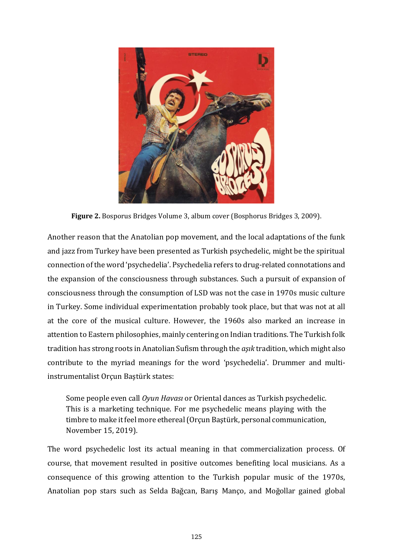

**Figure 2.** Bosporus Bridges Volume 3, album cover (Bosphorus Bridges 3, 2009).

Another reason that the Anatolian pop movement, and the local adaptations of the funk and jazz from Turkey have been presented as Turkish psychedelic, might be the spiritual connection of the word 'psychedelia'. Psychedelia refers to drug-related connotations and the expansion of the consciousness through substances. Such a pursuit of expansion of consciousness through the consumption of LSD was not the case in 1970s music culture in Turkey. Some individual experimentation probably took place, but that was not at all at the core of the musical culture. However, the 1960s also marked an increase in attention to Eastern philosophies, mainly centering on Indian traditions. The Turkish folk tradition has strong roots in Anatolian Sufism through the *aşık* tradition, which might also contribute to the myriad meanings for the word 'psychedelia'. Drummer and multiinstrumentalist Orçun Baştürk states:

Some people even call *Oyun Havası* or Oriental dances as Turkish psychedelic. This is a marketing technique. For me psychedelic means playing with the timbre to make it feel more ethereal (Orçun Baştürk, personal communication, November 15, 2019).

The word psychedelic lost its actual meaning in that commercialization process. Of course, that movement resulted in positive outcomes benefiting local musicians. As a consequence of this growing attention to the Turkish popular music of the 1970s, Anatolian pop stars such as Selda Bağcan, Barış Manço, and Moğollar gained global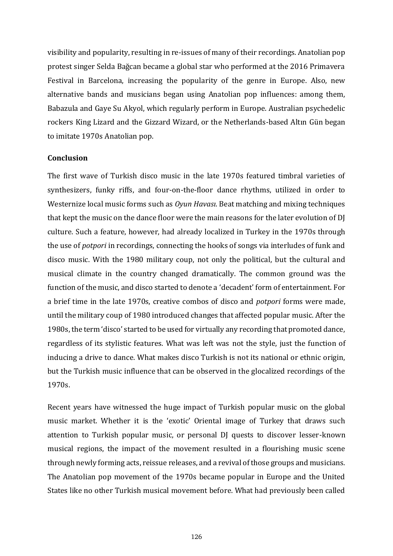visibility and popularity, resulting in re-issues of many of their recordings. Anatolian pop protest singer Selda Bağcan became a global star who performed at the 2016 Primavera Festival in Barcelona, increasing the popularity of the genre in Europe. Also, new alternative bands and musicians began using Anatolian pop influences: among them, Babazula and Gaye Su Akyol, which regularly perform in Europe. Australian psychedelic rockers King Lizard and the Gizzard Wizard, or the Netherlands-based Altın Gün began to imitate 1970s Anatolian pop.

#### **Conclusion**

The first wave of Turkish disco music in the late 1970s featured timbral varieties of synthesizers, funky riffs, and four-on-the-floor dance rhythms, utilized in order to Westernize local music forms such as *Oyun Havası*. Beat matching and mixing techniques that kept the music on the dance floor were the main reasons for the later evolution of DJ culture. Such a feature, however, had already localized in Turkey in the 1970s through the use of *potpori* in recordings, connecting the hooks of songs via interludes of funk and disco music. With the 1980 military coup, not only the political, but the cultural and musical climate in the country changed dramatically. The common ground was the function of the music, and disco started to denote a 'decadent' form of entertainment. For a brief time in the late 1970s, creative combos of disco and *potpori* forms were made, until the military coup of 1980 introduced changes that affected popular music. After the 1980s, the term 'disco' started to be used for virtually any recording that promoted dance, regardless of its stylistic features. What was left was not the style, just the function of inducing a drive to dance. What makes disco Turkish is not its national or ethnic origin, but the Turkish music influence that can be observed in the glocalized recordings of the 1970s.

Recent years have witnessed the huge impact of Turkish popular music on the global music market. Whether it is the 'exotic' Oriental image of Turkey that draws such attention to Turkish popular music, or personal DJ quests to discover lesser-known musical regions, the impact of the movement resulted in a flourishing music scene through newly forming acts, reissue releases, and a revival of those groups and musicians. The Anatolian pop movement of the 1970s became popular in Europe and the United States like no other Turkish musical movement before. What had previously been called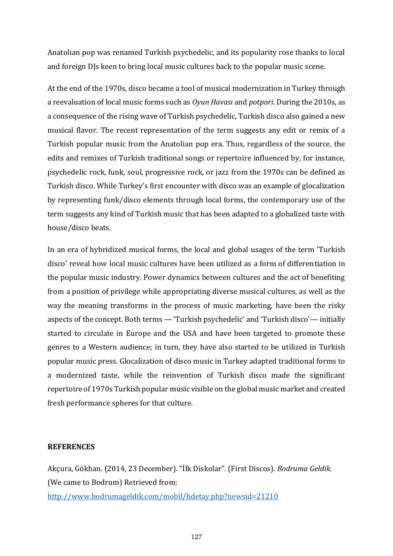Anatolian pop was renamed Turkish psychedelic, and its popularity rose thanks to local and foreign DJs keen to bring local music cultures back to the popular music scene.

At the end of the 1970s, disco became a tool of musical modernization in Turkey through a reevaluation of local music forms such as *Oyun Havası* and *potpori*. During the 2010s, as a consequence of the rising wave of Turkish psychedelic, Turkish disco also gained a new musical flavor. The recent representation of the term suggests any edit or remix of a Turkish popular music from the Anatolian pop era. Thus, regardless of the source, the edits and remixes of Turkish traditional songs or repertoire influenced by, for instance, psychedelic rock, funk, soul, progressive rock, or jazz from the 1970s can be defined as Turkish disco. While Turkey's first encounter with disco was an example of glocalization by representing funk/disco elements through local forms, the contemporary use of the term suggests any kind of Turkish music that has been adapted to a globalized taste with house/disco beats.

In an era of hybridized musical forms, the local and global usages of the term 'Turkish disco' reveal how local music cultures have been utilized as a form of differentiation in the popular music industry. Power dynamics between cultures and the act of benefiting from a position of privilege while appropriating diverse musical cultures, as well as the way the meaning transforms in the process of music marketing, have been the risky aspects of the concept. Both terms — 'Turkish psychedelic' and 'Turkish disco'— initially started to circulate in Europe and the USA and have been targeted to promote these genres to a Western audience; in turn, they have also started to be utilized in Turkish popular music press. Glocalization of disco music in Turkey adapted traditional forms to a modernized taste, while the reinvention of Turkish disco made the significant repertoire of 1970s Turkish popular music visible on the global music market and created fresh performance spheres for that culture.

### **REFERENCES**

Akçura, Gökhan. (2014, 23 December). "İlk Diskolar". (First Discos). *Bodruma Geldik*. (We came to Bodrum) Retrieved from:

<http://www.bodrumageldik.com/mobil/hdetay.php?newsid=21210>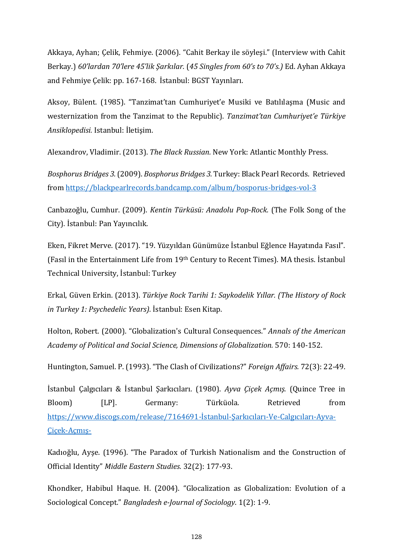Akkaya, Ayhan; Çelik, Fehmiye. (2006). "Cahit Berkay ile söyleşi." (Interview with Cahit Berkay.) *60'lardan 70'lere 45'lik Şarkılar.* (*45 Singles from 60's to 70's.)* Ed. Ayhan Akkaya and Fehmiye Çelik: pp. 167-168. İstanbul: BGST Yayınları.

Aksoy, Bülent. (1985). "Tanzimat'tan Cumhuriyet'e Musiki ve Batılılaşma (Music and westernization from the Tanzimat to the Republic). *Tanzimat'tan Cumhuriyet'e Türkiye Ansiklopedisi.* Istanbul: İletişim.

[Alexandrov,](http://www.amazon.com/Vladimir-Alexandrov/e/B001HPQ9JS/ref=dp_byline_cont_book_1) Vladimir. (2013). *The Black Russian.* New York: Atlantic Monthly Press.

*Bosphorus Bridges 3.* (2009). *Bosphorus Bridges 3.* Turkey: Black Pearl Records. Retrieved from <https://blackpearlrecords.bandcamp.com/album/bosporus-bridges-vol-3>

Canbazoğlu, Cumhur. (2009). *Kentin Türküsü: Anadolu Pop-Rock.* (The Folk Song of the City)*.* İstanbul: Pan Yayıncılık.

Eken, Fikret Merve. (2017). "19. Yüzyıldan Günümüze İstanbul Eğlence Hayatında Fasıl". (Fasıl in the Entertainment Life from 19th Century to Recent Times). MA thesis. İstanbul Technical University, İstanbul: Turkey

Erkal, Güven Erkin. (2013). *Türkiye Rock Tarihi 1: Saykodelik Yıllar. (The History of Rock in Turkey 1: Psychedelic Years).* İstanbul: Esen Kitap.

Holton, Robert. (2000). "Globalization's Cultural Consequences." *Annals of the American Academy of Political and Social Science, Dimensions of Globalization.* 570: 140-152.

Huntington, Samuel. P. (1993). "The Clash of Civilizations?" *Foreign Affairs.* 72(3): 22-49.

İstanbul Çalgıcıları & İstanbul Şarkıcıları. (1980). *Ayva Çiçek Açmış.* (Quince Tree in Bloom) [LP]. Germany: Türküola. Retrieved from [https://www.discogs.com/release/7164691-](https://www.discogs.com/release/7164691-İstanbul-Şarkıcıları-Ve-Calgıcıları-Ayva-Çiçek-Açmış-)İstanbul-Şarkıcıları-Ve-Calgıcıları-Ayva-[Çiçek-](https://www.discogs.com/release/7164691-İstanbul-Şarkıcıları-Ve-Calgıcıları-Ayva-Çiçek-Açmış-)Açmış-

Kadıoğlu, Ayşe. (1996). "The Paradox of Turkish Nationalism and the Construction of Official Identity" *Middle Eastern Studies.* 32(2): 177-93.

Khondker, Habibul Haque. H. (2004). "Glocalization as Globalization: Evolution of a Sociological Concept." *Bangladesh e-Journal of Sociology*. 1(2): 1-9.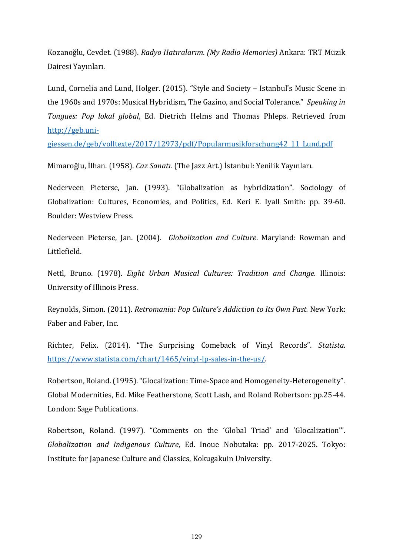Kozanoğlu, Cevdet. (1988). *Radyo Hatıralarım*. *(My Radio Memories)* Ankara: TRT Müzik Dairesi Yayınları.

Lund, Cornelia and Lund, Holger. (2015). "Style and Society – Istanbul's Music Scene in the 1960s and 1970s: Musical Hybridism, The Gazino, and Social Tolerance." *Speaking in Tongues: Pop lokal global*, Ed. Dietrich Helms and Thomas Phleps. Retrieved from [http://geb.uni-](http://geb.uni-giessen.de/geb/volltexte/2017/12973/pdf/Popularmusikforschung42_11_Lund.pdf)

[giessen.de/geb/volltexte/2017/12973/pdf/Popularmusikforschung42\\_11\\_Lund.pdf](http://geb.uni-giessen.de/geb/volltexte/2017/12973/pdf/Popularmusikforschung42_11_Lund.pdf)

Mimaroğlu, İlhan. (1958). *Caz Sanatı.* (The Jazz Art.) İstanbul: Yenilik Yayınları.

Nederveen Pieterse, Jan. (1993). "Globalization as hybridization". Sociology of Globalization: Cultures, Economies, and Politics, Ed. Keri E. Iyall Smith: pp. 39-60. Boulder: Westview Press.

Nederveen Pieterse, Jan. (2004). *Globalization and Culture*. Maryland: Rowman and Littlefield.

Nettl, Bruno. (1978). *Eight Urban Musical Cultures: Tradition and Change.* Illinois: University of Illinois Press.

Reynolds, Simon. (2011). *Retromania: Pop Culture's Addiction to Its Own Past.* New York: Faber and Faber, Inc.

Richter, Felix. (2014). "The Surprising Comeback of Vinyl Records". *Statista*. [https://www.statista.com/chart/1465/vinyl-lp-sales-in-the-us/.](https://www.statista.com/chart/1465/vinyl-lp-sales-in-the-us/)

Robertson, Roland.(1995)."Glocalization: Time-Space and Homogeneity-Heterogeneity". Global Modernities, Ed. Mike Featherstone, Scott Lash, and Roland Robertson: pp.25-44. London: Sage Publications.

Robertson, Roland. (1997). "Comments on the 'Global Triad' and 'Glocalization'". *Globalization and Indigenous Culture*, Ed. Inoue Nobutaka: pp. 2017-2025. Tokyo: Institute for Japanese Culture and Classics, Kokugakuin University.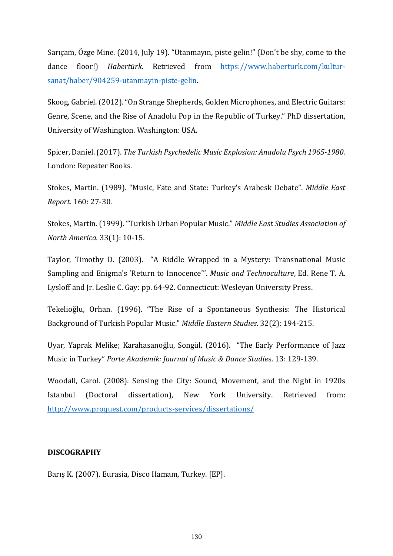Sarıçam, Özge Mine. (2014, July 19). "Utanmayın, piste gelin!" (Don't be shy, come to the dance floor!) *Habertürk*. Retrieved from [https://www.haberturk.com/kultur](https://www.haberturk.com/kultur-sanat/haber/904259-utanmayin-piste-gelin)[sanat/haber/904259-utanmayin-piste-gelin.](https://www.haberturk.com/kultur-sanat/haber/904259-utanmayin-piste-gelin)

Skoog, Gabriel. (2012). "On Strange Shepherds, Golden Microphones, and Electric Guitars: Genre, Scene, and the Rise of Anadolu Pop in the Republic of Turkey." PhD dissertation, University of Washington. Washington: USA.

Spicer, Daniel. (2017). *The Turkish Psychedelic Music Explosion: Anadolu Psych 1965-1980*. London: Repeater Books.

Stokes, Martin. (1989). "Music, Fate and State: Turkey's Arabesk Debate". *Middle East Report*. 160: 27-30.

Stokes, Martin. (1999). "Turkish Urban Popular Music." *Middle East Studies Association of North America.* 33(1): 10-15.

Taylor, Timothy D. (2003). "A Riddle Wrapped in a Mystery: Transnational Music Sampling and Enigma's 'Return to Innocence'". *Music and Technoculture*, Ed. Rene T. A. Lysloff and Jr. Leslie C. Gay: pp. 64-92. Connecticut: Wesleyan University Press.

Tekelioğlu, Orhan. (1996). "The Rise of a Spontaneous Synthesis: The Historical Background of Turkish Popular Music." *Middle Eastern Studies*. 32(2): 194-215.

Uyar, Yaprak Melike; Karahasanoğlu, Songül. (2016). "The Early Performance of Jazz Music in Turkey" *Porte Akademik: Journal of Music & Dance Studie*s. 13: 129-139.

Woodall, Carol. (2008). Sensing the City: Sound, Movement, and the Night in 1920s Istanbul (Doctoral dissertation), New York University. Retrieved from: <http://www.proquest.com/products-services/dissertations/>

### **DISCOGRAPHY**

Barış K. (2007). Eurasia, Disco Hamam, Turkey. [EP].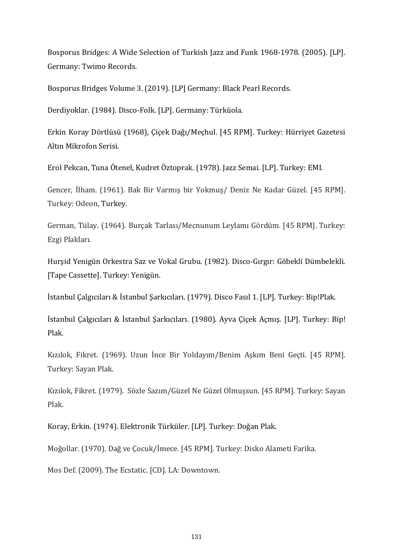Bosporus Bridges: A Wide Selection of Turkish Jazz and Funk 1968-1978. (2005). [LP]. Germany: Twimo Records.

Bosporus Bridges Volume 3. (2019). [LP] Germany: Black Pearl Records.

Derdiyoklar. (1984). Disco-Folk. [LP]. Germany: Türküola.

Erkin Koray Dörtlüsü (1968), Çiçek Dağı/Meçhul. [45 RPM]. Turkey: Hürriyet Gazetesi Altın Mikrofon Serisi.

Erol Pekcan, Tuna Ötenel, Kudret Öztoprak. (1978). Jazz Semai. [LP]. Turkey: EMI.

Gencer, İlham. (1961). Bak Bir Varmış bir Yokmuş/ Deniz Ne Kadar Güzel. [45 RPM]. Turkey: Odeon, Turkey.

German, Tülay. (1964). Burçak Tarlası/Mecnunum Leylamı Gördüm. [45 RPM]. Turkey: Ezgi Plakları.

Hurşid Yenigün Orkestra Saz ve Vokal Grubu. (1982). Disco-Gırgır: Göbekli Dümbelekli. [Tape Cassette]. Turkey: Yenigün.

İstanbul Çalgıcıları & İstanbul Şarkıcıları. (1979). Disco Fasıl 1. [LP]. Turkey: Bip!Plak.

İstanbul Çalgıcıları & İstanbul Şarkıcıları. (1980). Ayva Çiçek Açmış. [LP]. Turkey: Bip! Plak.

Kızılok, Fikret. (1969). Uzun İnce Bir Yoldayım/Benim Aşkım Beni Geçti. [45 RPM]. Turkey: Sayan Plak.

Kızılok, Fikret. (1979). Sözle Sazım/Güzel Ne Güzel Olmuşsun. [45 RPM]. Turkey: Sayan Plak.

Koray, Erkin. (1974). Elektronik Türküler. [LP]. Turkey: Doğan Plak.

Moğollar. (1970). Dağ ve Çocuk/İmece. [45 RPM]. Turkey: Disko Alameti Farika.

Mos Def. (2009). The Ecstatic. [CD]. LA: Downtown.